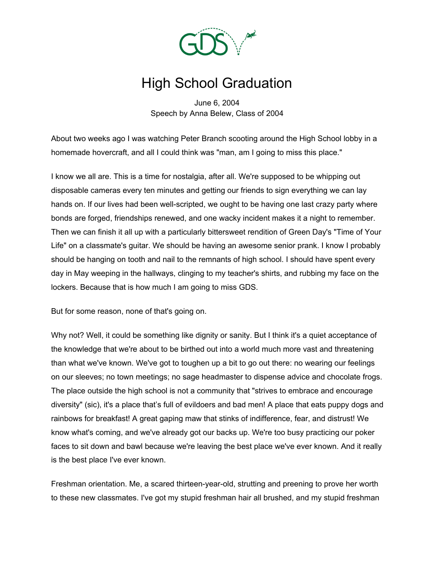

## High School Graduation

June 6, 2004 Speech by Anna Belew, Class of 2004

About two weeks ago I was watching Peter Branch scooting around the High School lobby in a homemade hovercraft, and all I could think was "man, am I going to miss this place."

I know we all are. This is a time for nostalgia, after all. We're supposed to be whipping out disposable cameras every ten minutes and getting our friends to sign everything we can lay hands on. If our lives had been well-scripted, we ought to be having one last crazy party where bonds are forged, friendships renewed, and one wacky incident makes it a night to remember. Then we can finish it all up with a particularly bittersweet rendition of Green Day's "Time of Your Life" on a classmate's guitar. We should be having an awesome senior prank. I know I probably should be hanging on tooth and nail to the remnants of high school. I should have spent every day in May weeping in the hallways, clinging to my teacher's shirts, and rubbing my face on the lockers. Because that is how much I am going to miss GDS.

But for some reason, none of that's going on.

Why not? Well, it could be something like dignity or sanity. But I think it's a quiet acceptance of the knowledge that we're about to be birthed out into a world much more vast and threatening than what we've known. We've got to toughen up a bit to go out there: no wearing our feelings on our sleeves; no town meetings; no sage headmaster to dispense advice and chocolate frogs. The place outside the high school is not a community that "strives to embrace and encourage diversity" (sic), it's a place that's full of evildoers and bad men! A place that eats puppy dogs and rainbows for breakfast! A great gaping maw that stinks of indifference, fear, and distrust! We know what's coming, and we've already got our backs up. We're too busy practicing our poker faces to sit down and bawl because we're leaving the best place we've ever known. And it really is the best place I've ever known.

Freshman orientation. Me, a scared thirteen-year-old, strutting and preening to prove her worth to these new classmates. I've got my stupid freshman hair all brushed, and my stupid freshman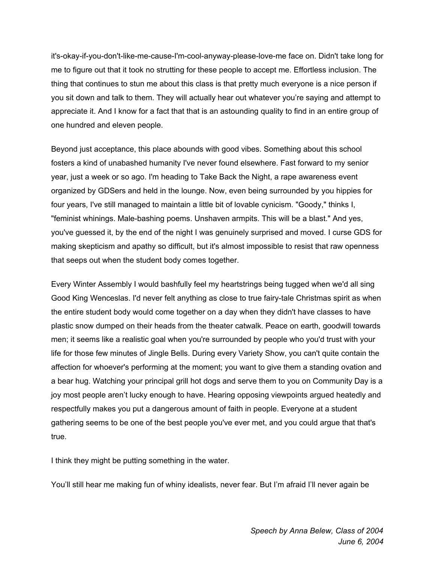it's-okay-if-you-don't-like-me-cause-I'm-cool-anyway-please-love-me face on. Didn't take long for me to figure out that it took no strutting for these people to accept me. Effortless inclusion. The thing that continues to stun me about this class is that pretty much everyone is a nice person if you sit down and talk to them. They will actually hear out whatever you're saying and attempt to appreciate it. And I know for a fact that that is an astounding quality to find in an entire group of one hundred and eleven people.

Beyond just acceptance, this place abounds with good vibes. Something about this school fosters a kind of unabashed humanity I've never found elsewhere. Fast forward to my senior year, just a week or so ago. I'm heading to Take Back the Night, a rape awareness event organized by GDSers and held in the lounge. Now, even being surrounded by you hippies for four years, I've still managed to maintain a little bit of lovable cynicism. "Goody," thinks I, "feminist whinings. Male-bashing poems. Unshaven armpits. This will be a blast." And yes, you've guessed it, by the end of the night I was genuinely surprised and moved. I curse GDS for making skepticism and apathy so difficult, but it's almost impossible to resist that raw openness that seeps out when the student body comes together.

Every Winter Assembly I would bashfully feel my heartstrings being tugged when we'd all sing Good King Wenceslas. I'd never felt anything as close to true fairy-tale Christmas spirit as when the entire student body would come together on a day when they didn't have classes to have plastic snow dumped on their heads from the theater catwalk. Peace on earth, goodwill towards men; it seems like a realistic goal when you're surrounded by people who you'd trust with your life for those few minutes of Jingle Bells. During every Variety Show, you can't quite contain the affection for whoever's performing at the moment; you want to give them a standing ovation and a bear hug. Watching your principal grill hot dogs and serve them to you on Community Day is a joy most people aren't lucky enough to have. Hearing opposing viewpoints argued heatedly and respectfully makes you put a dangerous amount of faith in people. Everyone at a student gathering seems to be one of the best people you've ever met, and you could argue that that's true.

I think they might be putting something in the water.

You'll still hear me making fun of whiny idealists, never fear. But I'm afraid I'll never again be